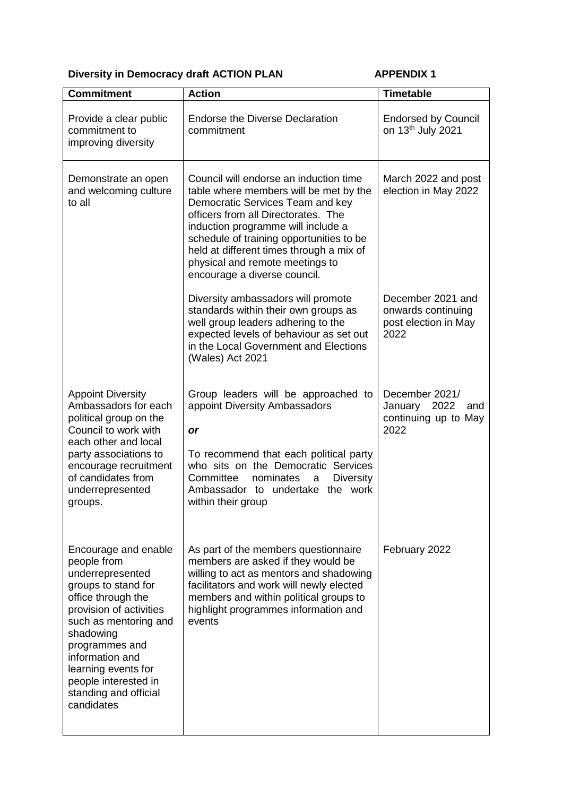## **Diversity in Democracy draft ACTION PLAN APPENDIX 1**

| <b>Commitment</b>                                                                                                                                                                                                                                                                                | <b>Action</b>                                                                                                                                                                                                                                                                                                                                                | <b>Timetable</b>                                                         |
|--------------------------------------------------------------------------------------------------------------------------------------------------------------------------------------------------------------------------------------------------------------------------------------------------|--------------------------------------------------------------------------------------------------------------------------------------------------------------------------------------------------------------------------------------------------------------------------------------------------------------------------------------------------------------|--------------------------------------------------------------------------|
| Provide a clear public<br>commitment to<br>improving diversity                                                                                                                                                                                                                                   | <b>Endorse the Diverse Declaration</b><br>commitment                                                                                                                                                                                                                                                                                                         | <b>Endorsed by Council</b><br>on 13th July 2021                          |
| Demonstrate an open<br>and welcoming culture<br>to all                                                                                                                                                                                                                                           | Council will endorse an induction time<br>table where members will be met by the<br>Democratic Services Team and key<br>officers from all Directorates. The<br>induction programme will include a<br>schedule of training opportunities to be<br>held at different times through a mix of<br>physical and remote meetings to<br>encourage a diverse council. | March 2022 and post<br>election in May 2022                              |
|                                                                                                                                                                                                                                                                                                  | Diversity ambassadors will promote<br>standards within their own groups as<br>well group leaders adhering to the<br>expected levels of behaviour as set out<br>in the Local Government and Elections<br>(Wales) Act 2021                                                                                                                                     | December 2021 and<br>onwards continuing<br>post election in May<br>2022  |
| <b>Appoint Diversity</b><br>Ambassadors for each<br>political group on the<br>Council to work with<br>each other and local<br>party associations to<br>encourage recruitment<br>of candidates from<br>underrepresented<br>groups.                                                                | Group leaders will be approached to<br>appoint Diversity Ambassadors<br>or<br>To recommend that each political party<br>who sits on the Democratic Services<br>Committee<br>nominates<br><b>Diversity</b><br>a<br>Ambassador to undertake the work<br>within their group                                                                                     | December 2021/<br>January<br>2022<br>and<br>continuing up to May<br>2022 |
| Encourage and enable<br>people from<br>underrepresented<br>groups to stand for<br>office through the<br>provision of activities<br>such as mentoring and<br>shadowing<br>programmes and<br>information and<br>learning events for<br>people interested in<br>standing and official<br>candidates | As part of the members questionnaire<br>members are asked if they would be<br>willing to act as mentors and shadowing<br>facilitators and work will newly elected<br>members and within political groups to<br>highlight programmes information and<br>events                                                                                                | February 2022                                                            |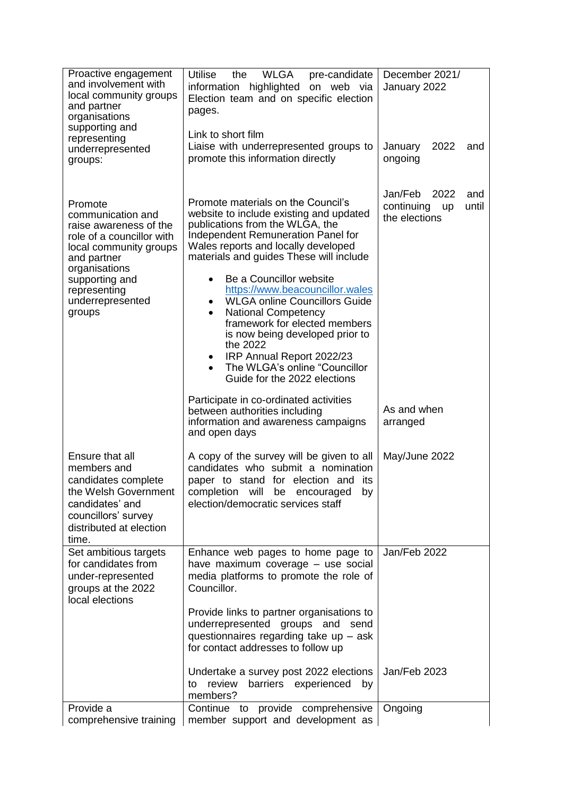| Proactive engagement<br>and involvement with<br>local community groups<br>and partner<br>organisations<br>supporting and                                                                                      | <b>Utilise</b><br><b>WLGA</b><br>the<br>pre-candidate<br>highlighted<br>information<br>on web via<br>Election team and on specific election<br>pages.                                                                                                                                                                                                                                                                                                                                                                                                                                                   | December 2021/<br>January 2022                                              |
|---------------------------------------------------------------------------------------------------------------------------------------------------------------------------------------------------------------|---------------------------------------------------------------------------------------------------------------------------------------------------------------------------------------------------------------------------------------------------------------------------------------------------------------------------------------------------------------------------------------------------------------------------------------------------------------------------------------------------------------------------------------------------------------------------------------------------------|-----------------------------------------------------------------------------|
| representing<br>underrepresented<br>groups:                                                                                                                                                                   | Link to short film<br>Liaise with underrepresented groups to<br>promote this information directly                                                                                                                                                                                                                                                                                                                                                                                                                                                                                                       | 2022<br>January<br>and<br>ongoing                                           |
| Promote<br>communication and<br>raise awareness of the<br>role of a councillor with<br>local community groups<br>and partner<br>organisations<br>supporting and<br>representing<br>underrepresented<br>groups | Promote materials on the Council's<br>website to include existing and updated<br>publications from the WLGA, the<br>Independent Remuneration Panel for<br>Wales reports and locally developed<br>materials and guides These will include<br>Be a Councillor website<br>$\bullet$<br>https://www.beacouncillor.wales<br><b>WLGA online Councillors Guide</b><br>$\bullet$<br><b>National Competency</b><br>$\bullet$<br>framework for elected members<br>is now being developed prior to<br>the 2022<br>IRP Annual Report 2022/23<br>٠<br>The WLGA's online "Councillor"<br>Guide for the 2022 elections | Jan/Feb<br>2022<br>and<br>continuing<br>until<br><b>up</b><br>the elections |
|                                                                                                                                                                                                               | Participate in co-ordinated activities<br>between authorities including<br>information and awareness campaigns<br>and open days                                                                                                                                                                                                                                                                                                                                                                                                                                                                         | As and when<br>arranged                                                     |
| Ensure that all<br>members and<br>candidates complete<br>the Welsh Government<br>candidates' and<br>councillors' survey<br>distributed at election<br>time.                                                   | A copy of the survey will be given to all<br>candidates who submit a nomination<br>paper to stand for election and its<br>completion will be encouraged<br>by<br>election/democratic services staff                                                                                                                                                                                                                                                                                                                                                                                                     | May/June 2022                                                               |
| Set ambitious targets<br>for candidates from<br>under-represented<br>groups at the 2022<br>local elections                                                                                                    | Enhance web pages to home page to<br>have maximum coverage - use social<br>media platforms to promote the role of<br>Councillor.                                                                                                                                                                                                                                                                                                                                                                                                                                                                        | Jan/Feb 2022                                                                |
|                                                                                                                                                                                                               | Provide links to partner organisations to<br>underrepresented groups and send<br>questionnaires regarding take up - ask<br>for contact addresses to follow up                                                                                                                                                                                                                                                                                                                                                                                                                                           |                                                                             |
|                                                                                                                                                                                                               | Undertake a survey post 2022 elections<br>barriers experienced<br>review<br>by<br>to<br>members?                                                                                                                                                                                                                                                                                                                                                                                                                                                                                                        | Jan/Feb 2023                                                                |
| Provide a<br>comprehensive training                                                                                                                                                                           | Continue to<br>provide<br>comprehensive<br>member support and development as                                                                                                                                                                                                                                                                                                                                                                                                                                                                                                                            | Ongoing                                                                     |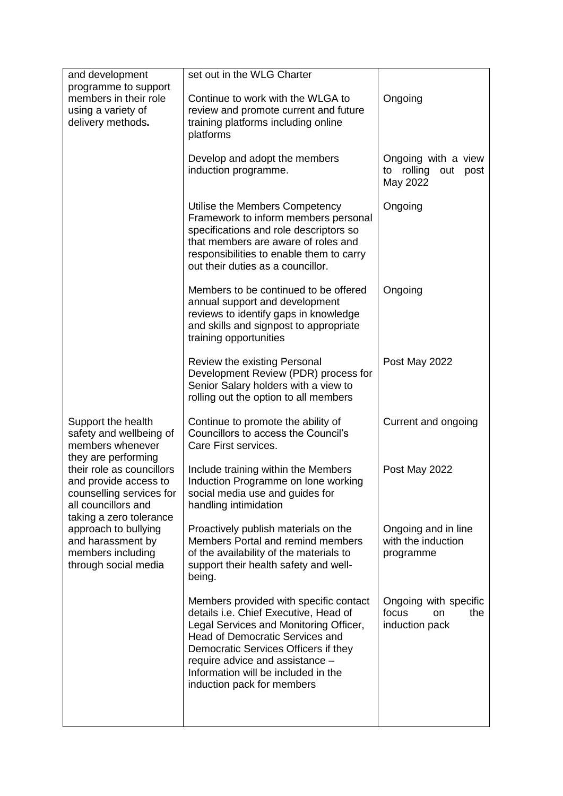| and development<br>programme to support                                                                                                                                                                                                                                                                                | set out in the WLG Charter                                                                                                                                                                                                                                                                                          |                                                                 |
|------------------------------------------------------------------------------------------------------------------------------------------------------------------------------------------------------------------------------------------------------------------------------------------------------------------------|---------------------------------------------------------------------------------------------------------------------------------------------------------------------------------------------------------------------------------------------------------------------------------------------------------------------|-----------------------------------------------------------------|
| members in their role<br>using a variety of<br>delivery methods.                                                                                                                                                                                                                                                       | Continue to work with the WLGA to<br>review and promote current and future<br>training platforms including online<br>platforms                                                                                                                                                                                      | Ongoing                                                         |
|                                                                                                                                                                                                                                                                                                                        | Develop and adopt the members<br>induction programme.                                                                                                                                                                                                                                                               | Ongoing with a view<br>rolling<br>out<br>to<br>post<br>May 2022 |
|                                                                                                                                                                                                                                                                                                                        | Utilise the Members Competency<br>Framework to inform members personal<br>specifications and role descriptors so<br>that members are aware of roles and<br>responsibilities to enable them to carry<br>out their duties as a councillor.                                                                            | Ongoing                                                         |
|                                                                                                                                                                                                                                                                                                                        | Members to be continued to be offered<br>annual support and development<br>reviews to identify gaps in knowledge<br>and skills and signpost to appropriate<br>training opportunities                                                                                                                                | Ongoing                                                         |
|                                                                                                                                                                                                                                                                                                                        | Review the existing Personal<br>Development Review (PDR) process for<br>Senior Salary holders with a view to<br>rolling out the option to all members                                                                                                                                                               | Post May 2022                                                   |
| Support the health<br>safety and wellbeing of<br>members whenever<br>they are performing<br>their role as councillors<br>and provide access to<br>counselling services for<br>all councillors and<br>taking a zero tolerance<br>approach to bullying<br>and harassment by<br>members including<br>through social media | Continue to promote the ability of<br>Councillors to access the Council's<br>Care First services.                                                                                                                                                                                                                   | Current and ongoing                                             |
|                                                                                                                                                                                                                                                                                                                        | Include training within the Members<br>Induction Programme on lone working<br>social media use and guides for<br>handling intimidation                                                                                                                                                                              | Post May 2022                                                   |
|                                                                                                                                                                                                                                                                                                                        | Proactively publish materials on the<br>Members Portal and remind members<br>of the availability of the materials to<br>support their health safety and well-<br>being.                                                                                                                                             | Ongoing and in line<br>with the induction<br>programme          |
|                                                                                                                                                                                                                                                                                                                        | Members provided with specific contact<br>details i.e. Chief Executive, Head of<br>Legal Services and Monitoring Officer,<br><b>Head of Democratic Services and</b><br>Democratic Services Officers if they<br>require advice and assistance -<br>Information will be included in the<br>induction pack for members | Ongoing with specific<br>focus<br>the<br>on<br>induction pack   |